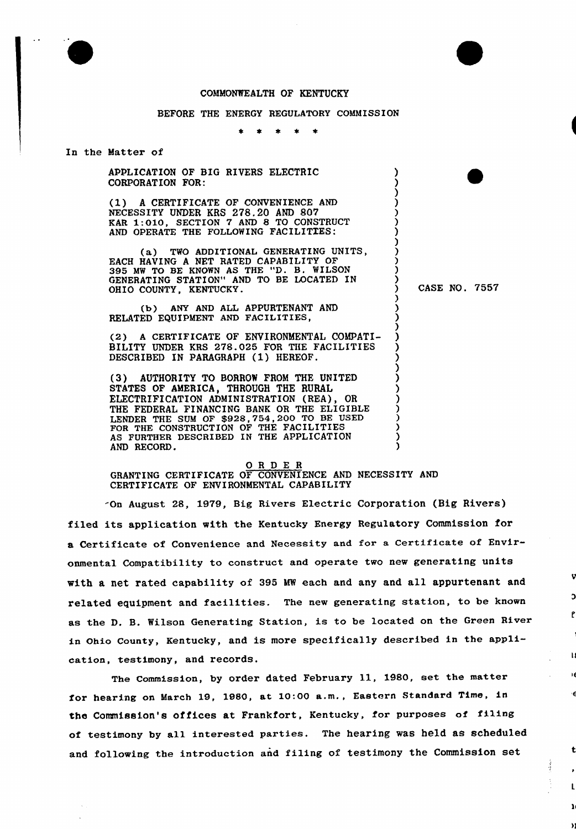## COMMONWEALTH OF KENTUCKY

## BEFORE THE ENERGY REGULATORY COMMISSION

In the Matter of

APPLICATION OF BIG RIVERS ELECTRIC CORPORATION FOR:

(1) <sup>A</sup> CERTIFICATE OF CONVENIENCE AND NECESSITY UNDER KRS 278.20 AND 807 KAR 1:010, SECTION 7 AND 8 TO CONSTRUCT AND OPERATE THE FOLLOWING FACILITIES:

(a) TWO ADDITIONAL GENERATING UNITS, EACH HAVING A NET RATED CAPABILITY OF<br>395 MW TO BE KNOWN AS THE "D. B. WILSON GENERATING STATION" AND TO BE LOCATED IN OHIO COUNTY, KENTUCKY.

(b) ANY AND ALL APPURTENANT AND RELATED EQUIPMENT AND FACILITIES,

(2) A CERTIFICATE OF ENVIRONMENTAL COMPATI-BILITY UNDER KRS 278.025 FOR THE FACILITIES DESCRIBED IN PARAGRAPH (1) HEREOF.

(3) AUTHORITY TO BORROW FROM THE UNITED STATES OF AMERICA, THROUGH THE RURAL ELECTRIFICATION ADMINISTRATION (REA), OR THE FEDERAL FINANCING BANK OR THE ELIGIBLE LENDER THE SUM OF \$928,754,200 TO BE USED FOR THE CONSTRUCTION OF THE FACILITIES AS FURTHER DESCRIBED IN THE APPLICATION AND RECORD.

## 0 <sup>R</sup> <sup>D</sup> E <sup>R</sup> GRANTING CERTIFICATE OF CONVENIENCE AND NECESSITY AND CERTIFICATE OF ENVIRONMENTAL CAPABILITY

-On August 28, 1979, Big Rivers Electric Corporation (Big Rivers) filed its application with the Kentucky Energy Regulatory Commission for a Certificate of Convenience and Necessity and for a Certificate of Environmental Compatibility to construct and operate two new generating units with a net rated capability of 395 MW each and any and all appurtenant and related equipment and facilities. The new generating station, to be known as the D. B. Wilson Generating Station, is to be located on the Green River in Ohio County, Kentucky, and is more specifically described in the application, testimony, and records.

The Commission, by order dated February ll, 1980, set the matter for hearing on March 19, 1980, at 10:00 a.m., Eastern Standard Time, in the Commission's offices at Frankfort, Kentucky, for purposes of fi1ing of testimony by all interested parties. The hearing was held as scheduled and following the introduction and filing of testimony the Commission set

) CASE NO, 7557

t

 $\begin{matrix} \frac{1}{2} & \frac{1}{2} \\ \frac{1}{2} & \frac{1}{2} \end{matrix}$ 

) )

) ) ) ) ) ) )

> ) ) ) ) ) ) ) ) ) ) ) ) ) ) )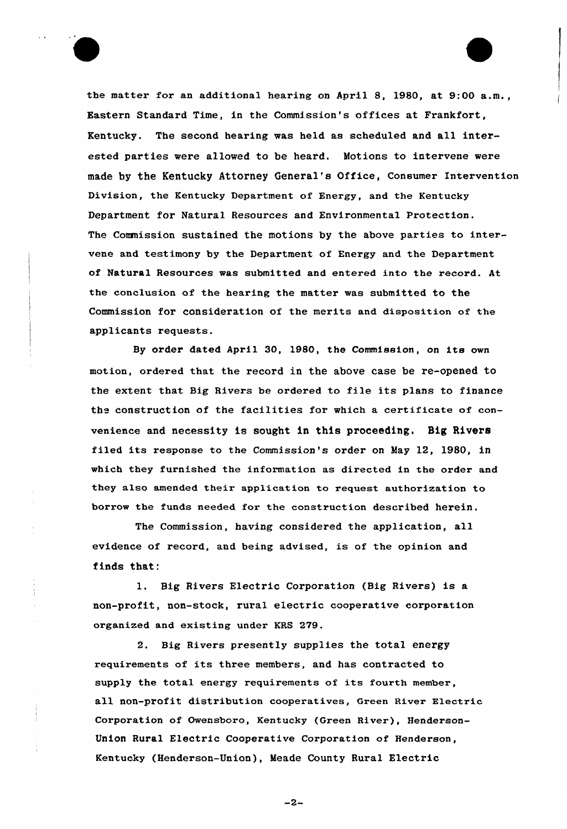

the matter for an additional hearing on April 8, 1980, at 9:00 a.m., Eastern Standard Time, in the Commission's offices at Frankfort, Kentucky. The second hearing was held as scheduled and all interested parties were allowed to be heard. Motions to intervene were made by the Kentucky Attorney General's Office, Consumer Intervention Division, the Kentucky Department of Energy, and the Kentucky Department for Natural Resources and Environmental Protection. The Comnission sustained the motions by the above parties to intervene and testimony by the Department of Energy and the Department of Natural Resources was submitted and entered into the record. At the conclusion of the hearing the matter was submitted to the Commission for consideration of the merits and disposition of the applicants requests.

By order dated Apri1 30, 1980, the Commission, on its own motion, ordered that the record in the above case be re-opened to the extent that Big Rivers be ordered to file its plans to finance the construction of the facilities for which a certificate of convenience and necessity is sought in this proceeding. Big Rivers filed its response to the Commission's order on May 12, 1980, in which they furnished the information as directed in the order and they also amended their application to request authorization to borrow the funds needed for the construction described herein.

The Commission, having considered the application, all evidence of record, and being advised, is of the opinion and finds that:

1, Big Rivers Electric Corporation (Big Rivers) is a non-profit, non-stock, rural electric cooperative corporation organized and existing under KRS 279.

2. Big Rivers presently supplies the total energy requirements of its three members, and has contracted to supply the total energy requirements of its fourth member, all non-profit distribution cooperatives, Green River Electric Corporation of Owensboro, Kentucky (Green River), Henderson-Union Rural Electric Cooperative Corporation of Henderson, Kentucky (Henderson-Union), Meade County Rural Electric

 $-2-$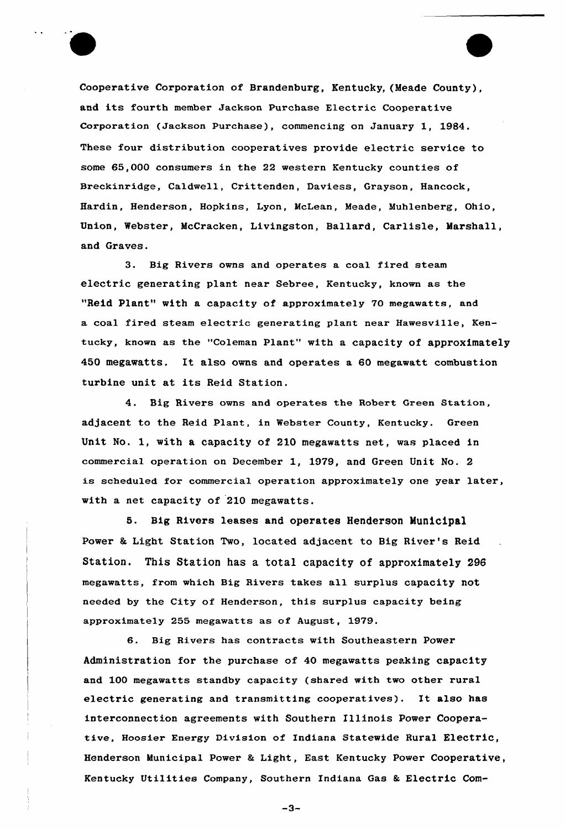

Cooperative Corporation of Brandenburg, Kentucky, (Meade County), and its fourth member Jackson Purchase Electric Cooperative Corporation (Jackson Purchase), commencing on January 1, 1984. These four distribution cooperatives provide electric service to some 65,000 consumers in the 22 western Kentucky counties of Breckinridge, Caldwell, Crittenden, Daviess, Grayson, Hancock, Hardin, Henderson, Hopkins, Lyon, McLean, Meade, Muhlenberg, Ohio, Union, Webster, McCracken, Livingston, Ballard, Carlisle, Marshall, and Graves.

3. Big Rivers owns and operates a coal fired steam electric generating plant near Sebree, Kentucky, known as the "Reid Plant" with a capacity of approximately 70 megawatts, and a coal fired steam electric generating plant near Hawesville, Kentucky, known as the "Coleman Plant" with a capacity of approximately 450 megawatts. It also owns and operates a 60 megawatt combustion turbine unit at its Reid Station.

4. Big Rivers owns and operates the Robert Green Station, adjacent to the Reid Plant, in Webster County, Kentucky. Green Unit No. 1, with a capacity of 210 megawatts net, was placed in commercial operation on December 1, 1979, and Green Unit No. 2 is scheduled for commercia1 operation approximately one year later, with a net capacity of 210 megawatts.

5. Big Rivers leases and operates Henderson Municipal Power & Light Station Two, located adjacent to Big River's Reid Station. This Station has a total capacity of approximately 298 megawatts, from which Big Rivers takes all surplus capacity not needed by the City of Henderson, this surplus capacity being approximately 255 megawatts as of August, 1979.

6. Big Rivers has contracts with Southeastern Power Administration for the purchase of 40 megawatts peaking capacity and 100 megawatts standby capacity (shared with two other rural electric generating and transmitting cooperatives). It also has interconnection agreements with Southern Illinois Power Cooperative, Hoosier Energy Division of Indiana Statewide Rural Electric, Henderson Municipal Power & Light, East Kentucky Power Cooperative, Kentucky Utilities Company, Southern Indiana Gas & Electric Com-

 $-3-$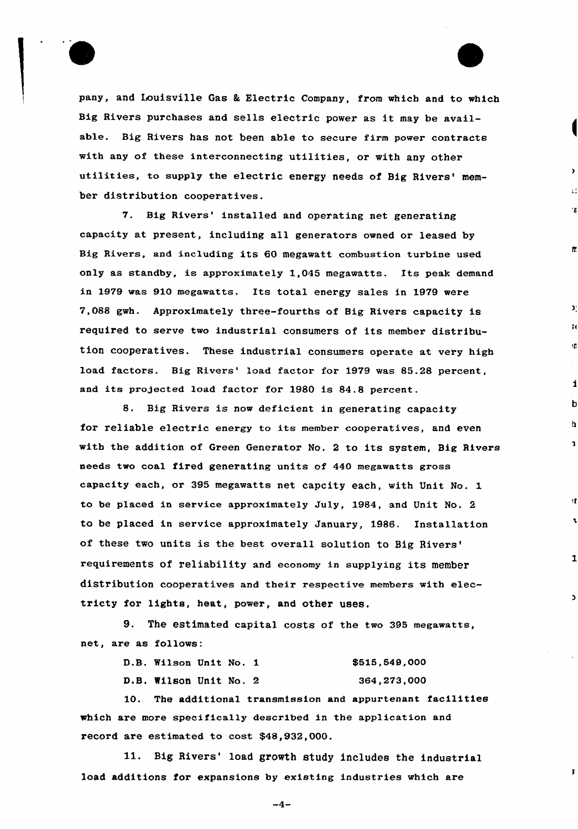

pany, and Louisville Gas & Electric Company, from which and to which Big Rivers purchases and sells electric power as it may be available. Big Rivers has not been able to secure firm power contracts with any of these interconnecting utilities, or with any other utilities, to supply the electric energy needs of Big Rivers' member distribution cooperatives.

Èε

h.

 $\mathcal{Y}$ 

3 t

ÌД

 $\mathbf i$ 

 $\mathbf 2$ 

 $\mathbf{r}$ 

 $\mathbf{r}$ 

 $\mathbf{1}$ 

 $\overline{ }$ 

 $\overline{\mathbf{3}}$ 

7. Big Rivers' installed and operating net generating capacity at present, including all generators owned or leased by Big Rivers, and including its 60 megawatt combustion turbine used only as standby, is approximately 1,045 megawatts. Its peak demand in 1979 was 910 megawatts. Its total energy sales in 1979 were 7,088 gwh. Approximately three-fourths of Big Rivers capacity is required to serve two industrial consumers of its member distribution cooperatives. These industrial consumers operate at very high load factors. Big Rivers' load factor for 1979 was 85.28 percent, and its projected load factor for 1980 is 84.8 percent.

8. Big Rivers is now deficient in generating capacity for reliable electric energy to its member cooperatives, and even with the addition of Green Generator No. <sup>2</sup> to its system, Big Rivers needs two coal fired generating units of 440 megawatts gross capacity each, or 395 megawatts net capcity each, with Unit No. 1 to be placed in service approximately July, 1984, and Unit No. 2 to be placed in service approximately January, 1986. Installation of these two units is the best overall solution to Big requirements of reliability and economy in supplying its member distribution cooperatives and their respective members with electricty for lights, heat, power, and other uses.

9. The estimated capital costs of the two 395 megawatts, net, are as follows:

| D.B. Wilson Unit No. 1 |  | \$515,549,000 |
|------------------------|--|---------------|
| D.B. Wilson Unit No. 2 |  | 364,273,000   |

10. The additional transmission and appurtenant facilities which are more specifically described in the application and record are estimated to cost \$48,932,000.

11. Big Rivers' load growth study includes the industrial load additions for expansions by existing industries which are

 $-4-$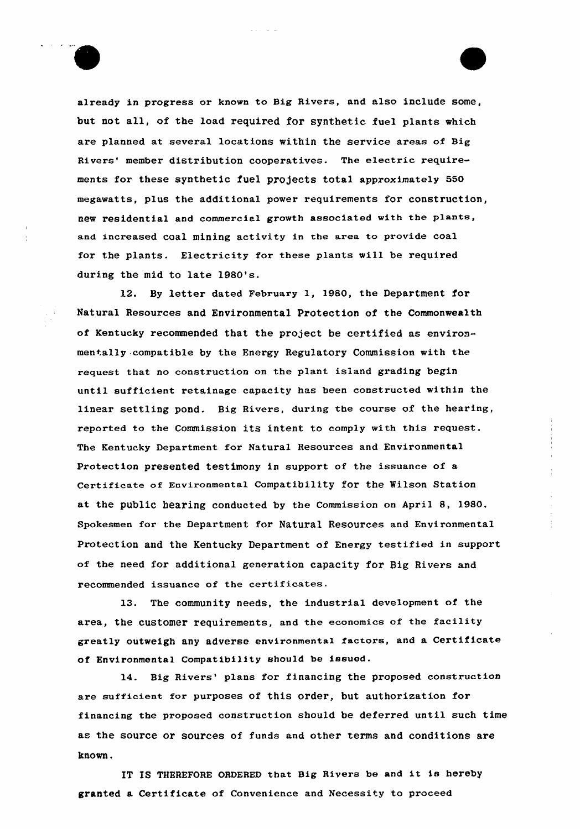

already in progress or known to Big Rivers, and also include some, but not all, of the load required for synthetic fuel plants which are planned at several locations within the service areas of Big Rivers' member distribution cooperatives. The electric requirements for these synthetic fuel projects total approximately 550 megawatts, plus the additional power requirements for construction, new residential and commercial growth associated with the plants, and increased coal mining activity in the area to provide coal for the plants. Electricity for these plants will be required during the mid to late 1980's.

12. By letter dated February 1, 1980, the Department for Natural Resources and Environmental Protection of the Commonwealth of Kentucky xecommended that the project be certified as environmentally compatible by the Energy Regulatory Commission with the request that no construction on the plant island grading begin until sufficient retainage capacity has been constructed within the linear settling pond. Big Rivers, during the course of the hearing, reported to the Commission its intent to comply with this request. The Kentucky Department for Natural Resources and Environmental Protection presented testimony in support of the issuance of a Certificate of Environmental Compatibility for the Wilson Station at the public hearing conducted by the Commission on April 8, 1980. Spokesmen for the Department for Natural Resources and Environmental Protection and the Kentucky Department of Energy testified in support of the need for additional generation capacity for Big Rivers and recommended issuance of the certificates.

13. The community needs, the industrial development of the area, the customer requirements, and the economics of the facility greatly outweigh any adverse environmental factors, and a Certificate of Environmental Compatibility should be issued.

14. Big Rivers' plans for financing the proposed construction are sufficient for purposes of this order, but authorization for financing the pxoposed constxuction should be deferred until such time as the source or sources of funds and other terms and conditions are known.

IT IS THEREFORE ORDERED that Big Rivers be and it is hereby granted a Certificate of Convenience and Necessity to proceed